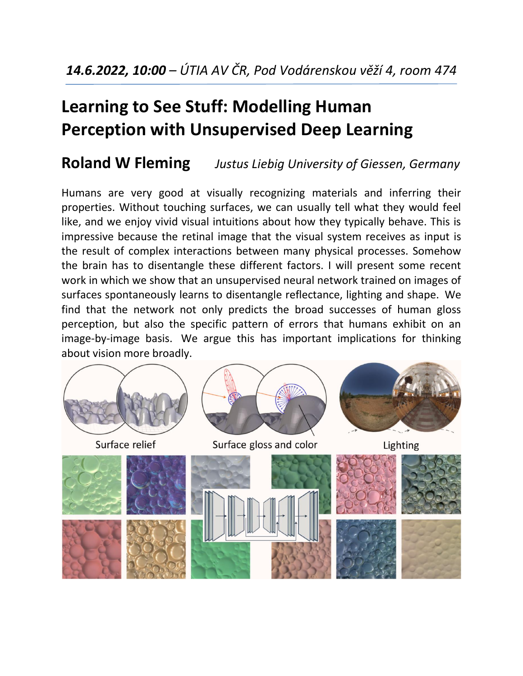# **Learning to See Stuff: Modelling Human Perception with Unsupervised Deep Learning**

#### **Roland W Fleming** *Justus Liebig University of Giessen, Germany*

Humans are very good at visually recognizing materials and inferring their properties. Without touching surfaces, we can usually tell what they would feel like, and we enjoy vivid visual intuitions about how they typically behave. This is impressive because the retinal image that the visual system receives as input is the result of complex interactions between many physical processes. Somehow the brain has to disentangle these different factors. I will present some recent work in which we show that an unsupervised neural network trained on images of surfaces spontaneously learns to disentangle reflectance, lighting and shape. We find that the network not only predicts the broad successes of human gloss perception, but also the specific pattern of errors that humans exhibit on an image-by-image basis. We argue this has important implications for thinking about vision more broadly.